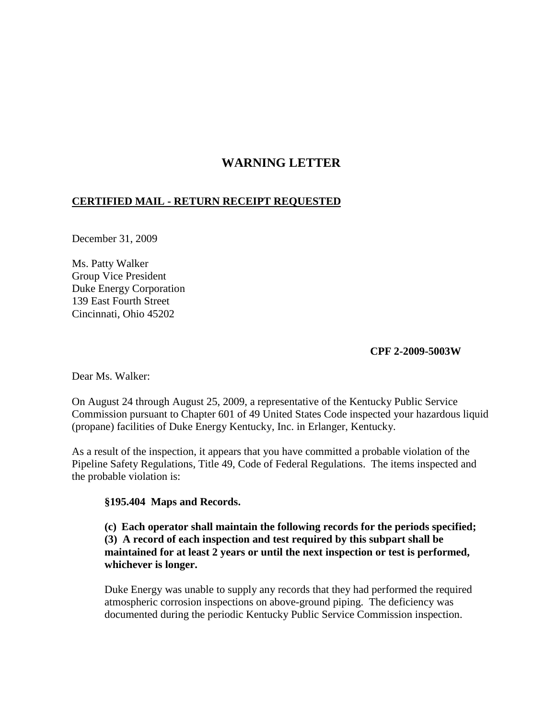## **WARNING LETTER**

## **CERTIFIED MAIL - RETURN RECEIPT REQUESTED**

December 31, 2009

Ms. Patty Walker Group Vice President Duke Energy Corporation 139 East Fourth Street Cincinnati, Ohio 45202

## **CPF 2-2009-5003W**

Dear Ms. Walker:

On August 24 through August 25, 2009, a representative of the Kentucky Public Service Commission pursuant to Chapter 601 of 49 United States Code inspected your hazardous liquid (propane) facilities of Duke Energy Kentucky, Inc. in Erlanger, Kentucky.

As a result of the inspection, it appears that you have committed a probable violation of the Pipeline Safety Regulations, Title 49, Code of Federal Regulations. The items inspected and the probable violation is:

## **§195.404 Maps and Records.**

**(c) Each operator shall maintain the following records for the periods specified; (3) A record of each inspection and test required by this subpart shall be maintained for at least 2 years or until the next inspection or test is performed, whichever is longer.**

Duke Energy was unable to supply any records that they had performed the required atmospheric corrosion inspections on above-ground piping. The deficiency was documented during the periodic Kentucky Public Service Commission inspection.